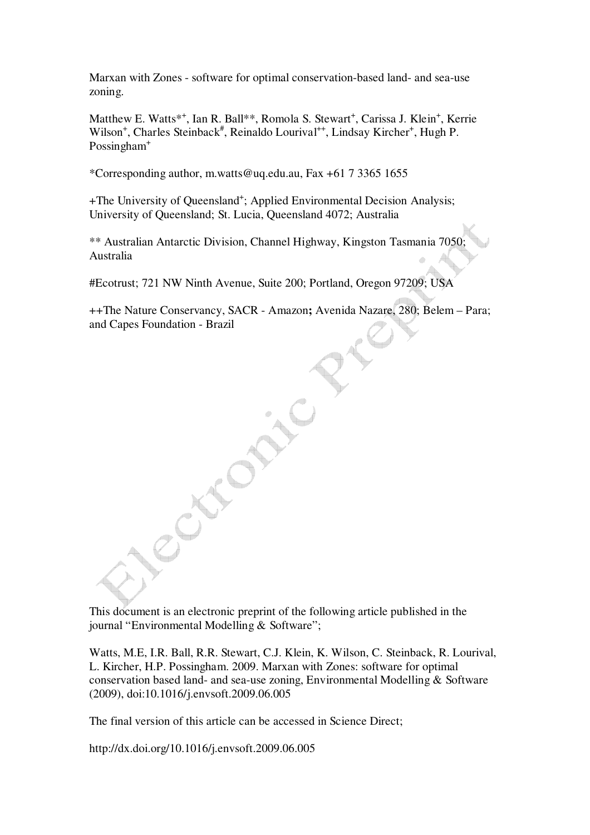Marxan with Zones - software for optimal conservation-based land- and sea-use zoning.

Matthew E. Watts<sup>\*+</sup>, Ian R. Ball\*\*, Romola S. Stewart<sup>+</sup>, Carissa J. Klein<sup>+</sup>, Kerrie Wilson<sup>+</sup>, Charles Steinback<sup>#</sup>, Reinaldo Lourival<sup>++</sup>, Lindsay Kircher<sup>+</sup>, Hugh P. Possingham<sup>+</sup>

\*Corresponding author, m.watts@uq.edu.au, Fax +61 7 3365 1655

+The University of Queensland<sup>+</sup>; Applied Environmental Decision Analysis; University of Queensland; St. Lucia, Queensland 4072; Australia

\*\* Australian Antarctic Division, Channel Highway, Kingston Tasmania 7050; Australia

#Ecotrust; 721 NW Ninth Avenue, Suite 200; Portland, Oregon 97209; USA

++The Nature Conservancy, SACR - Amazon**;** Avenida Nazare, 280; Belem – Para; and Capes Foundation - Brazil

This document is an electronic preprint of the following article published in the journal "Environmental Modelling & Software";

Watts, M.E, I.R. Ball, R.R. Stewart, C.J. Klein, K. Wilson, C. Steinback, R. Lourival, L. Kircher, H.P. Possingham. 2009. Marxan with Zones: software for optimal conservation based land- and sea-use zoning, Environmental Modelling & Software (2009), doi:10.1016/j.envsoft.2009.06.005

The final version of this article can be accessed in Science Direct;

http://dx.doi.org/10.1016/j.envsoft.2009.06.005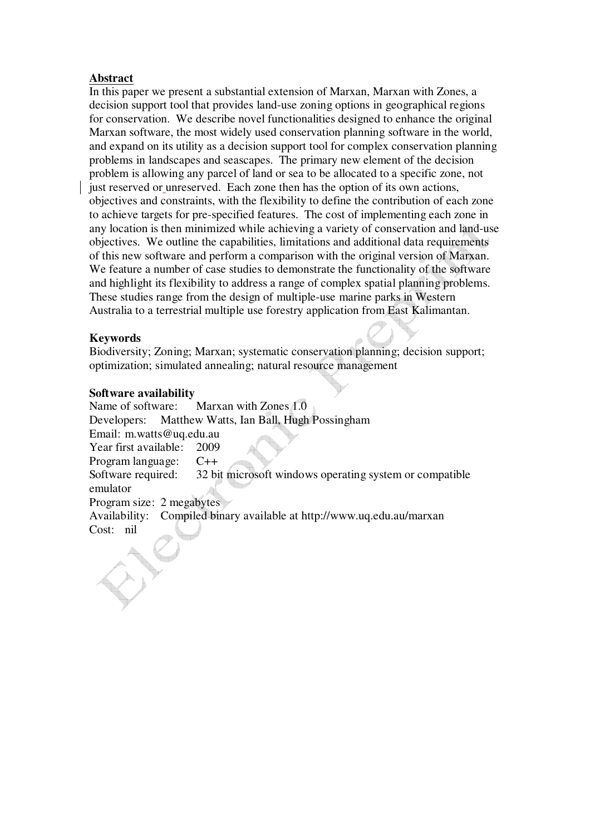# **Abstract**

In this paper we present a substantial extension of Marxan, Marxan with Zones, a decision support tool that provides land-use zoning options in geographical regions for conservation. We describe novel functionalities designed to enhance the original Marxan software, the most widely used conservation planning software in the world, and expand on its utility as a decision support tool for complex conservation planning problems in landscapes and seascapes. The primary new element of the decision problem is allowing any parcel of land or sea to be allocated to a specific zone, not just reserved or unreserved. Each zone then has the option of its own actions, objectives and constraints, with the flexibility to define the contribution of each zone to achieve targets for pre-specified features. The cost of implementing each zone in any location is then minimized while achieving a variety of conservation and land-use objectives. We outline the capabilities, limitations and additional data requirements of this new software and perform a comparison with the original version of Marxan. We feature a number of case studies to demonstrate the functionality of the software and highlight its flexibility to address a range of complex spatial planning problems. These studies range from the design of multiple-use marine parks in Western Australia to a terrestrial multiple use forestry application from East Kalimantan.

# **Keywords**

Biodiversity; Zoning; Marxan; systematic conservation planning; decision support; optimization; simulated annealing; natural resource management

# **Software availability**

Name of software: Marxan with Zones 1.0 Developers: Matthew Watts, Ian Ball, Hugh Possingham Email: m.watts@uq.edu.au Year first available: 2009 Program language: C++ Software required: 32 bit microsoft windows operating system or compatible emulator Program size: 2 megabytes Availability: Compiled binary available at http://www.uq.edu.au/marxan Cost: nil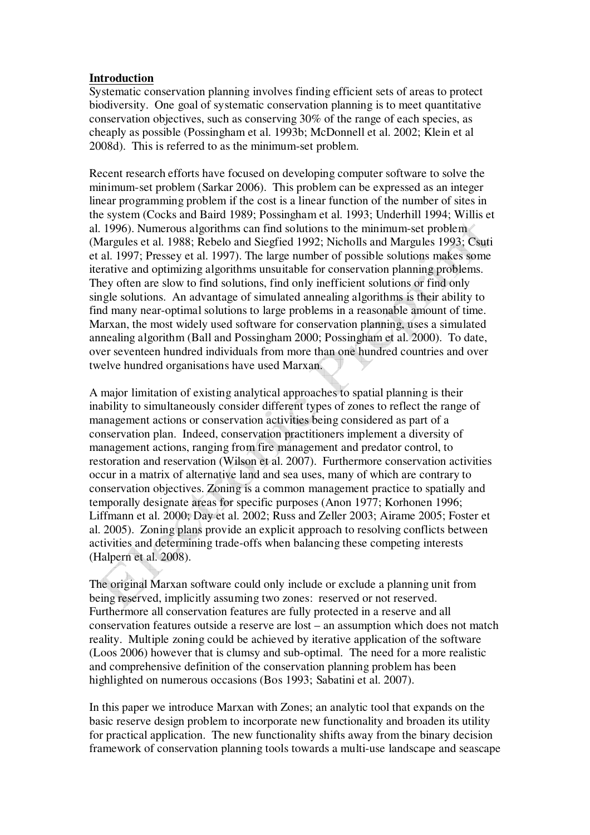# **Introduction**

Systematic conservation planning involves finding efficient sets of areas to protect biodiversity. One goal of systematic conservation planning is to meet quantitative conservation objectives, such as conserving 30% of the range of each species, as cheaply as possible (Possingham et al. 1993b; McDonnell et al. 2002; Klein et al 2008d). This is referred to as the minimum-set problem.

Recent research efforts have focused on developing computer software to solve the minimum-set problem (Sarkar 2006). This problem can be expressed as an integer linear programming problem if the cost is a linear function of the number of sites in the system (Cocks and Baird 1989; Possingham et al. 1993; Underhill 1994; Willis et al. 1996). Numerous algorithms can find solutions to the minimum-set problem (Margules et al. 1988; Rebelo and Siegfied 1992; Nicholls and Margules 1993; Csuti et al. 1997; Pressey et al. 1997). The large number of possible solutions makes some iterative and optimizing algorithms unsuitable for conservation planning problems. They often are slow to find solutions, find only inefficient solutions or find only single solutions. An advantage of simulated annealing algorithms is their ability to find many near-optimal solutions to large problems in a reasonable amount of time. Marxan, the most widely used software for conservation planning, uses a simulated annealing algorithm (Ball and Possingham 2000; Possingham et al. 2000). To date, over seventeen hundred individuals from more than one hundred countries and over twelve hundred organisations have used Marxan.

A major limitation of existing analytical approaches to spatial planning is their inability to simultaneously consider different types of zones to reflect the range of management actions or conservation activities being considered as part of a conservation plan. Indeed, conservation practitioners implement a diversity of management actions, ranging from fire management and predator control, to restoration and reservation (Wilson et al. 2007). Furthermore conservation activities occur in a matrix of alternative land and sea uses, many of which are contrary to conservation objectives. Zoning is a common management practice to spatially and temporally designate areas for specific purposes (Anon 1977; Korhonen 1996; Liffmann et al. 2000; Day et al. 2002; Russ and Zeller 2003; Airame 2005; Foster et al. 2005). Zoning plans provide an explicit approach to resolving conflicts between activities and determining trade-offs when balancing these competing interests (Halpern et al. 2008).

The original Marxan software could only include or exclude a planning unit from being reserved, implicitly assuming two zones: reserved or not reserved. Furthermore all conservation features are fully protected in a reserve and all conservation features outside a reserve are lost – an assumption which does not match reality. Multiple zoning could be achieved by iterative application of the software (Loos 2006) however that is clumsy and sub-optimal. The need for a more realistic and comprehensive definition of the conservation planning problem has been highlighted on numerous occasions (Bos 1993; Sabatini et al. 2007).

In this paper we introduce Marxan with Zones; an analytic tool that expands on the basic reserve design problem to incorporate new functionality and broaden its utility for practical application. The new functionality shifts away from the binary decision framework of conservation planning tools towards a multi-use landscape and seascape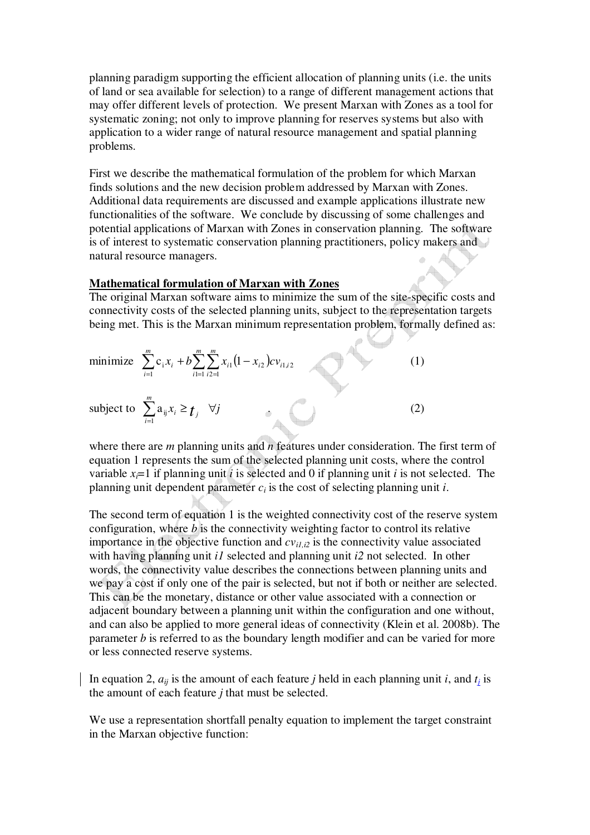planning paradigm supporting the efficient allocation of planning units (i.e. the units of land or sea available for selection) to a range of different management actions that may offer different levels of protection. We present Marxan with Zones as a tool for systematic zoning; not only to improve planning for reserves systems but also with application to a wider range of natural resource management and spatial planning problems.

First we describe the mathematical formulation of the problem for which Marxan finds solutions and the new decision problem addressed by Marxan with Zones. Additional data requirements are discussed and example applications illustrate new functionalities of the software. We conclude by discussing of some challenges and potential applications of Marxan with Zones in conservation planning. The software is of interest to systematic conservation planning practitioners, policy makers and natural resource managers.

## **Mathematical formulation of Marxan with Zones**

The original Marxan software aims to minimize the sum of the site-specific costs and connectivity costs of the selected planning units, subject to the representation targets being met. This is the Marxan minimum representation problem, formally defined as:

minimize 
$$
\sum_{i=1}^{m} c_i x_i + b \sum_{i=1}^{m} \sum_{i \ge 1}^{m} x_{i1} (1 - x_{i2}) c v_{i1,i2}
$$
  
\nsubject to  $\sum_{i=1}^{m} a_{ij} x_i \ge t_j$   $\forall j$  (2)

where there are *m* planning units and *n* features under consideration. The first term of equation 1 represents the sum of the selected planning unit costs, where the control variable  $x_i = 1$  if planning unit *i* is selected and 0 if planning unit *i* is not selected. The planning unit dependent parameter *ci* is the cost of selecting planning unit *i*.

The second term of equation 1 is the weighted connectivity cost of the reserve system configuration, where *b* is the connectivity weighting factor to control its relative importance in the objective function and  $cv_{i1,i2}$  is the connectivity value associated with having planning unit *i1* selected and planning unit *i2* not selected. In other words, the connectivity value describes the connections between planning units and we pay a cost if only one of the pair is selected, but not if both or neither are selected. This can be the monetary, distance or other value associated with a connection or adjacent boundary between a planning unit within the configuration and one without, and can also be applied to more general ideas of connectivity (Klein et al. 2008b). The parameter *b* is referred to as the boundary length modifier and can be varied for more or less connected reserve systems.

In equation 2,  $a_{ij}$  is the amount of each feature *j* held in each planning unit *i*, and  $t_i$  is the amount of each feature *j* that must be selected.

We use a representation shortfall penalty equation to implement the target constraint in the Marxan objective function: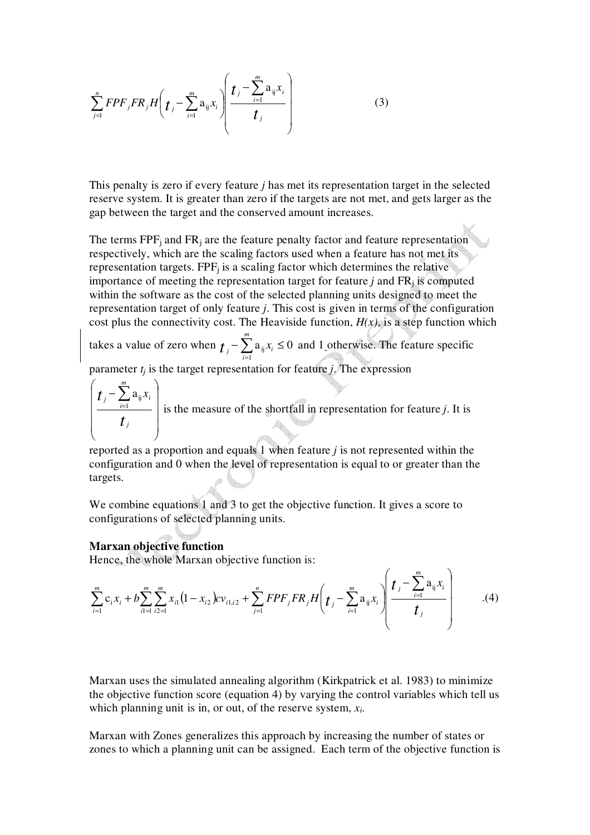$$
\sum_{j=1}^{n} FPF_{j}FR_{j}H\left(t_{j}-\sum_{i=1}^{m} a_{ij}x_{i}\right)\left(\frac{t_{j}-\sum_{i=1}^{m} a_{ij}x_{i}}{t_{j}}\right)
$$
(3)

This penalty is zero if every feature *j* has met its representation target in the selected reserve system. It is greater than zero if the targets are not met, and gets larger as the gap between the target and the conserved amount increases.

The terms  $FPF_j$  and  $FR_j$  are the feature penalty factor and feature representation respectively, which are the scaling factors used when a feature has not met its representation targets.  $FPF_j$  is a scaling factor which determines the relative importance of meeting the representation target for feature *j* and FR<sup>j</sup> is computed within the software as the cost of the selected planning units designed to meet the representation target of only feature *j*. This cost is given in terms of the configuration cost plus the connectivity cost. The Heaviside function,  $H(x)$ , is a step function which

takes a value of zero when  $t_i - \sum a_{ii} x_i \leq 0$ 1  $-\sum_{i=1}^{m} a_{ij} x_i \leq$ = *m i*  $t_i - \sum_i a_{ij} x_i \leq 0$  and 1 otherwise. The feature specific

parameter  $t_j$  is the target representation for feature  $j$ . The expression

$$
\left(\frac{t_j - \sum_{i=1}^m a_{ij} x_i}{t_j}\right)
$$
 is the measure of the shorthand in representation for feature *j*. It is

reported as a proportion and equals 1 when feature *j* is not represented within the configuration and 0 when the level of representation is equal to or greater than the targets.

We combine equations 1 and 3 to get the objective function. It gives a score to configurations of selected planning units.

### **Marxan objective function**

Hence, the whole Marxan objective function is:

$$
\sum_{i=1}^{m} c_i x_i + b \sum_{i=1}^{m} \sum_{i=1}^{m} x_{i1} (1 - x_{i2}) c v_{i1,i2} + \sum_{j=1}^{n} FPF_j FR_j H \left( t_j - \sum_{i=1}^{m} a_{ij} x_i \right) \left( \frac{t_j - \sum_{i=1}^{m} a_{ij} x_i}{t_j} \right) \qquad (4)
$$

Marxan uses the simulated annealing algorithm (Kirkpatrick et al. 1983) to minimize the objective function score (equation 4) by varying the control variables which tell us which planning unit is in, or out, of the reserve system, *x<sup>i</sup>* .

Marxan with Zones generalizes this approach by increasing the number of states or zones to which a planning unit can be assigned. Each term of the objective function is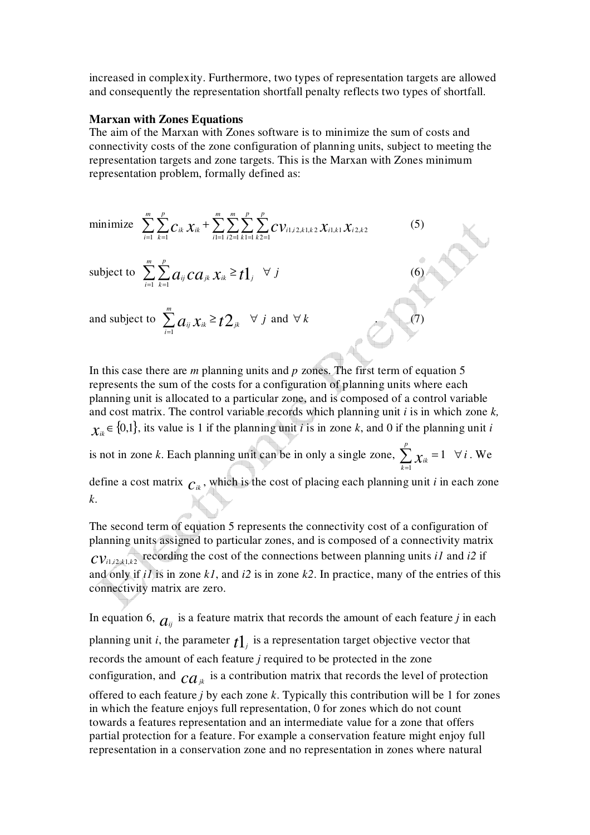increased in complexity. Furthermore, two types of representation targets are allowed and consequently the representation shortfall penalty reflects two types of shortfall.

#### **Marxan with Zones Equations**

The aim of the Marxan with Zones software is to minimize the sum of costs and connectivity costs of the zone configuration of planning units, subject to meeting the representation targets and zone targets. This is the Marxan with Zones minimum representation problem, formally defined as:

(5)

minimize 
$$
\sum_{i=1}^{m} \sum_{k=1}^{p} C_{ik} \chi_{ik} + \sum_{i=1}^{m} \sum_{i=1}^{m} \sum_{k=1}^{p} \sum_{k=1}^{p} C V_{i1,i2,k1,k2} \chi_{i1,k1} \chi_{i2,k2}
$$

subject to  $\sum_{n=1}^{\infty} \sum_{n=1}^{n}$  $=1$   $k=$  $\sum_{i=1}^{m} \sum_{j=1}^{p} a_{ij} C a_{ij} X_{ik} \geq$ *i p*  $\sum_{i} \sum_{k=1} a_{ij} c a_{jk} x_{ik} \geq t \mathbb{1}_{j} \quad \forall j$  (6)

and subject to  $\sum_{i=1}^{m} a_{ij} x_{ik} \geq t2_{jk}$  $\sum_{i=1}^m a_{ij} x_{ik}$  ≥  $\forall j$  and  $\forall k$  . (7)

In this case there are *m* planning units and *p* zones. The first term of equation 5 represents the sum of the costs for a configuration of planning units where each planning unit is allocated to a particular zone, and is composed of a control variable and cost matrix. The control variable records which planning unit *i* is in which zone *k,*  $\chi$ <sub>*ik*</sub> ∈ {0,1}</sub>, its value is 1 if the planning unit *i* is in zone *k*, and 0 if the planning unit *i* is not in zone *k*. Each planning unit can be in only a single zone,  $\sum \chi_{ik} = 1$ 1  $\sum \nolimits_{\mathcal{X}_{ik}}$  = = *p*  $\sum_{k=1} \chi_{ik} = 1 \quad \forall i$ . We define a cost matrix  $c_{ik}$ , which is the cost of placing each planning unit *i* in each zone *k*.

The second term of equation 5 represents the connectivity cost of a configuration of planning units assigned to particular zones, and is composed of a connectivity matrix  $CV_{i1,i2,k1,k2}$  recording the cost of the connections between planning units *i1* and *i2* if and only if *i1* is in zone *k1*, and *i2* is in zone *k2*. In practice, many of the entries of this connectivity matrix are zero.

In equation 6,  $a_{ij}$  is a feature matrix that records the amount of each feature *j* in each planning unit *i*, the parameter  $t_1$ <sup>*j*</sup> is a representation target objective vector that records the amount of each feature *j* required to be protected in the zone configuration, and  $ca_{ik}$  is a contribution matrix that records the level of protection offered to each feature *j* by each zone *k*. Typically this contribution will be 1 for zones in which the feature enjoys full representation, 0 for zones which do not count towards a features representation and an intermediate value for a zone that offers partial protection for a feature. For example a conservation feature might enjoy full representation in a conservation zone and no representation in zones where natural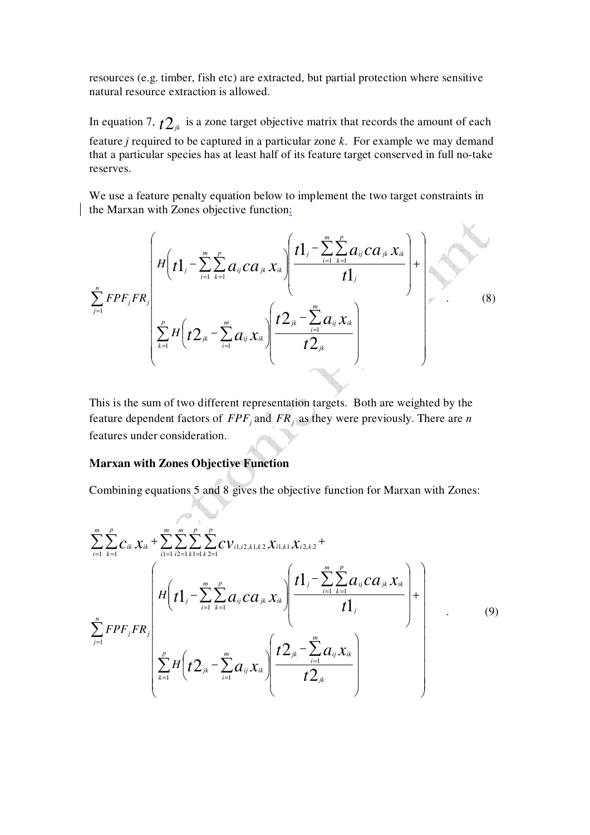resources (e.g. timber, fish etc) are extracted, but partial protection where sensitive natural resource extraction is allowed.

In equation 7,  $t_1$ <sup>*t*</sup> is a zone target objective matrix that records the amount of each feature *j* required to be captured in a particular zone *k*. For example we may demand that a particular species has at least half of its feature target conserved in full no-take reserves.

We use a feature penalty equation below to implement the two target constraints in the Marxan with Zones objective function:

$$
\sum_{j=1}^{n} FPF_{j}FR_{j}
$$
\n
$$
\sum_{k=1}^{n} H\left(t1_{j} - \sum_{i=1}^{m} \sum_{k=1}^{p} a_{ij} ca_{jk} x_{ik}\right) \left(\frac{t1_{j} - \sum_{i=1}^{m} \sum_{k=1}^{p} a_{ij} ca_{jk} x_{ik}}{t1_{j}}\right) + \sum_{i=1}^{n} FPF_{j}FR_{j}
$$
\n(8)

This is the sum of two different representation targets. Both are weighted by the feature dependent factors of *FPF<sup>j</sup>* and *FR<sup>j</sup>* as they were previously. There are *n* features under consideration.

# **Marxan with Zones Objective Function**

Combining equations 5 and 8 gives the objective function for Marxan with Zones:

$$
\sum_{i=1}^{m} \sum_{k=1}^{p} c_{ik} x_{ik} + \sum_{i=1}^{m} \sum_{i=2}^{p} \sum_{k=1}^{p} c_{i,i,i,k} x_{i,k} x_{i,k} x_{i,k} + \sum_{i=1}^{m} \sum_{i=1}^{p} \sum_{k=1}^{p} c_{i,i,i,k} x_{i,k} x_{i,k} + \sum_{i=1}^{m} \sum_{k=1}^{p} c_{i,i,k} x_{i,k} + \sum_{i=1}^{m} \sum_{k=1}^{p} c_{i,i,k} x_{i,k} + \sum_{i=1}^{m} \sum_{k=1}^{p} c_{i,i,k} x_{i,k} + \sum_{i=1}^{m} \sum_{k=1}^{p} c_{i,i,k} x_{i,k} + \sum_{i=1}^{m} \sum_{k=1}^{p} c_{i,i,k} x_{i,k} + \sum_{i=1}^{m} \sum_{k=1}^{p} c_{i,i,k} x_{i,k} + \sum_{i=1}^{m} \sum_{k=1}^{p} c_{i,i,k} x_{i,k} + \sum_{i=1}^{m} \sum_{k=1}^{p} c_{i,i,k} x_{i,k} + \sum_{i=1}^{m} \sum_{k=1}^{p} c_{i,i,k} x_{i,k} + \sum_{i=1}^{m} \sum_{k=1}^{p} c_{i,i,k} x_{i,k} + \sum_{i=1}^{m} \sum_{k=1}^{p} c_{i,i,k} x_{i,k} + \sum_{i=1}^{m} \sum_{k=1}^{p} c_{i,i,k} x_{i,k} + \sum_{i=1}^{m} \sum_{k=1}^{p} c_{i,i,k} x_{i,k} + \sum_{i=1}^{m} \sum_{k=1}^{p} c_{i,i,k} x_{i,k} + \sum_{i=1}^{m} \sum_{k=1}^{p} c_{i,i,k} x_{i,k} + \sum_{i=1}^{m} \sum_{k=1}^{p} c_{i,i,k} x_{i,k} + \sum_{i=1}^{m} \sum_{k=1}^{p} c_{i,i,k} x_{i,k} + \sum_{i=1}^{m} \sum_{k=1}^{p} c_{i,i,k} x_{i,k} + \sum_{i=1}^{m} \sum_{k=1}^{p} c_{i,i,k} x_{i,k} + \sum_{i=1}^{m} \sum_{k=1}^{p} c_{
$$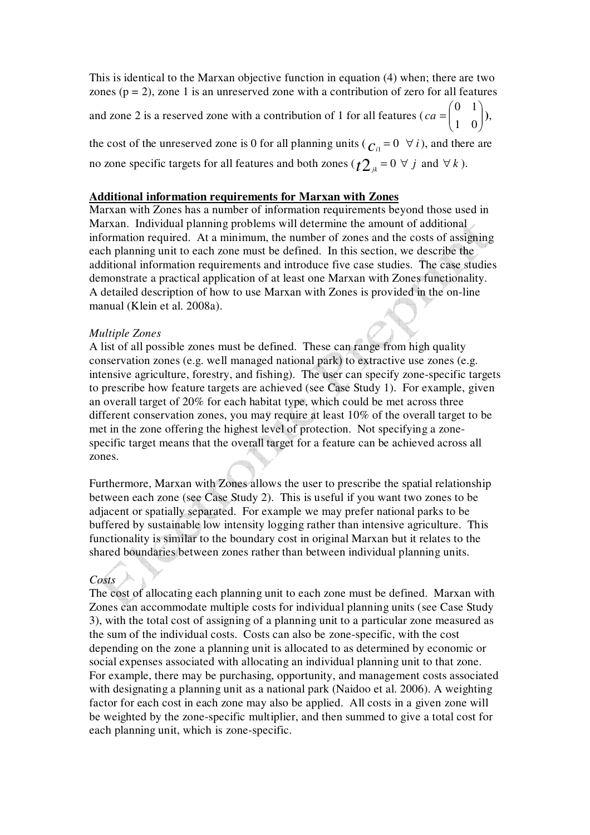This is identical to the Marxan objective function in equation (4) when; there are two zones ( $p = 2$ ), zone 1 is an unreserved zone with a contribution of zero for all features

and zone 2 is a reserved zone with a contribution of 1 for all features ( $ca = \begin{bmatrix} 0 & 1 \\ 1 & 0 \end{bmatrix}$ J  $\backslash$  $\overline{\phantom{a}}$  $\setminus$ ſ = 1 0 0 1  $ca = \begin{bmatrix} 1 & 0 \\ 0 & 1 \end{bmatrix}$ 

the cost of the unreserved zone is 0 for all planning units ( $c_i = 0 \forall i$ ), and there are no zone specific targets for all features and both zones ( $t2_k = 0 \forall j$  and  $\forall k$ ).

## **Additional information requirements for Marxan with Zones**

Marxan with Zones has a number of information requirements beyond those used in Marxan. Individual planning problems will determine the amount of additional information required. At a minimum, the number of zones and the costs of assigning each planning unit to each zone must be defined. In this section, we describe the additional information requirements and introduce five case studies. The case studies demonstrate a practical application of at least one Marxan with Zones functionality. A detailed description of how to use Marxan with Zones is provided in the on-line manual (Klein et al. 2008a).

### *Multiple Zones*

A list of all possible zones must be defined. These can range from high quality conservation zones (e.g. well managed national park) to extractive use zones (e.g. intensive agriculture, forestry, and fishing). The user can specify zone-specific targets to prescribe how feature targets are achieved (see Case Study 1). For example, given an overall target of 20% for each habitat type, which could be met across three different conservation zones, you may require at least 10% of the overall target to be met in the zone offering the highest level of protection. Not specifying a zonespecific target means that the overall target for a feature can be achieved across all zones.

Furthermore, Marxan with Zones allows the user to prescribe the spatial relationship between each zone (see Case Study 2). This is useful if you want two zones to be adjacent or spatially separated. For example we may prefer national parks to be buffered by sustainable low intensity logging rather than intensive agriculture. This functionality is similar to the boundary cost in original Marxan but it relates to the shared boundaries between zones rather than between individual planning units.

# *Costs*

The cost of allocating each planning unit to each zone must be defined. Marxan with Zones can accommodate multiple costs for individual planning units (see Case Study 3), with the total cost of assigning of a planning unit to a particular zone measured as the sum of the individual costs. Costs can also be zone-specific, with the cost depending on the zone a planning unit is allocated to as determined by economic or social expenses associated with allocating an individual planning unit to that zone. For example, there may be purchasing, opportunity, and management costs associated with designating a planning unit as a national park (Naidoo et al. 2006). A weighting factor for each cost in each zone may also be applied. All costs in a given zone will be weighted by the zone-specific multiplier, and then summed to give a total cost for each planning unit, which is zone-specific.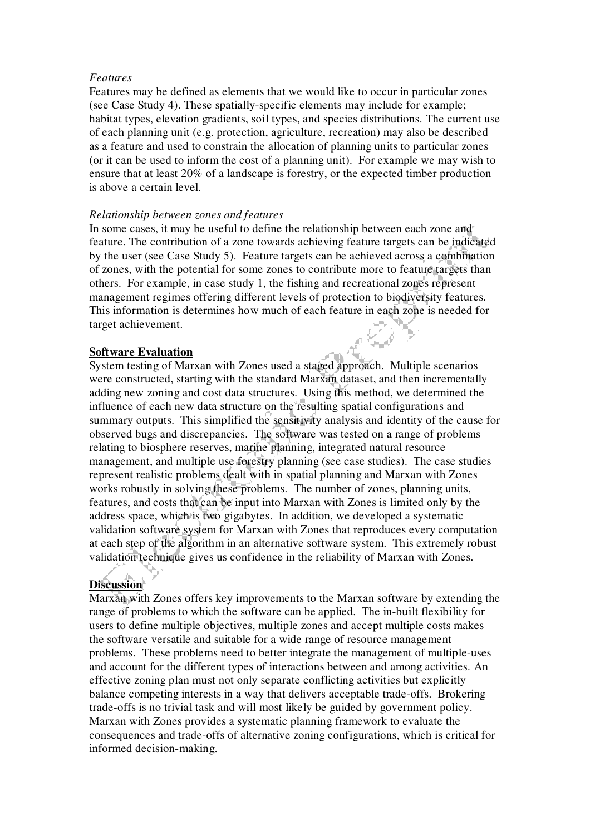## *Features*

Features may be defined as elements that we would like to occur in particular zones (see Case Study 4). These spatially-specific elements may include for example; habitat types, elevation gradients, soil types, and species distributions. The current use of each planning unit (e.g. protection, agriculture, recreation) may also be described as a feature and used to constrain the allocation of planning units to particular zones (or it can be used to inform the cost of a planning unit). For example we may wish to ensure that at least 20% of a landscape is forestry, or the expected timber production is above a certain level.

## *Relationship between zones and features*

In some cases, it may be useful to define the relationship between each zone and feature. The contribution of a zone towards achieving feature targets can be indicated by the user (see Case Study 5). Feature targets can be achieved across a combination of zones, with the potential for some zones to contribute more to feature targets than others. For example, in case study 1, the fishing and recreational zones represent management regimes offering different levels of protection to biodiversity features. This information is determines how much of each feature in each zone is needed for target achievement.

# **Software Evaluation**

System testing of Marxan with Zones used a staged approach. Multiple scenarios were constructed, starting with the standard Marxan dataset, and then incrementally adding new zoning and cost data structures. Using this method, we determined the influence of each new data structure on the resulting spatial configurations and summary outputs. This simplified the sensitivity analysis and identity of the cause for observed bugs and discrepancies. The software was tested on a range of problems relating to biosphere reserves, marine planning, integrated natural resource management, and multiple use forestry planning (see case studies). The case studies represent realistic problems dealt with in spatial planning and Marxan with Zones works robustly in solving these problems. The number of zones, planning units, features, and costs that can be input into Marxan with Zones is limited only by the address space, which is two gigabytes. In addition, we developed a systematic validation software system for Marxan with Zones that reproduces every computation at each step of the algorithm in an alternative software system. This extremely robust validation technique gives us confidence in the reliability of Marxan with Zones.

# **Discussion**

Marxan with Zones offers key improvements to the Marxan software by extending the range of problems to which the software can be applied. The in-built flexibility for users to define multiple objectives, multiple zones and accept multiple costs makes the software versatile and suitable for a wide range of resource management problems. These problems need to better integrate the management of multiple-uses and account for the different types of interactions between and among activities. An effective zoning plan must not only separate conflicting activities but explicitly balance competing interests in a way that delivers acceptable trade-offs. Brokering trade-offs is no trivial task and will most likely be guided by government policy. Marxan with Zones provides a systematic planning framework to evaluate the consequences and trade-offs of alternative zoning configurations, which is critical for informed decision-making.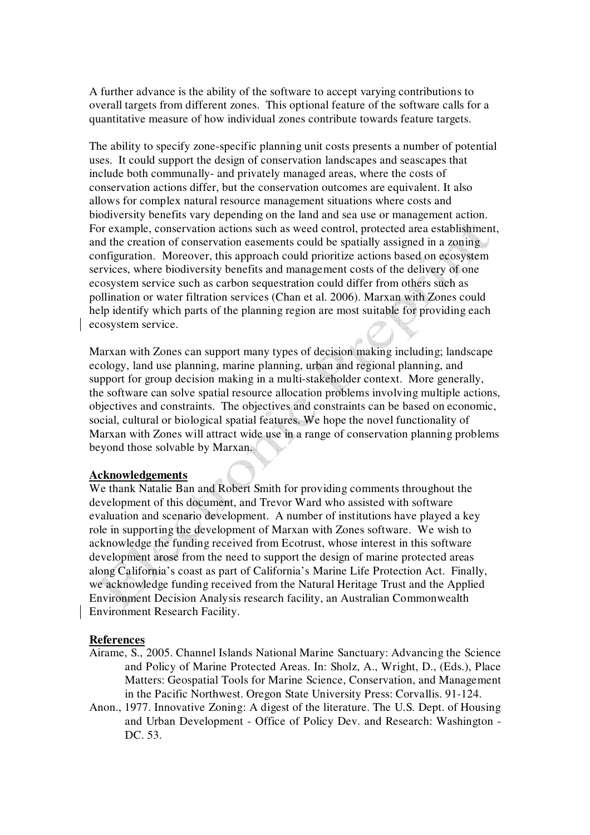A further advance is the ability of the software to accept varying contributions to overall targets from different zones. This optional feature of the software calls for a quantitative measure of how individual zones contribute towards feature targets.

The ability to specify zone-specific planning unit costs presents a number of potential uses. It could support the design of conservation landscapes and seascapes that include both communally- and privately managed areas, where the costs of conservation actions differ, but the conservation outcomes are equivalent. It also allows for complex natural resource management situations where costs and biodiversity benefits vary depending on the land and sea use or management action. For example, conservation actions such as weed control, protected area establishment, and the creation of conservation easements could be spatially assigned in a zoning configuration. Moreover, this approach could prioritize actions based on ecosystem services, where biodiversity benefits and management costs of the delivery of one ecosystem service such as carbon sequestration could differ from others such as pollination or water filtration services (Chan et al. 2006). Marxan with Zones could help identify which parts of the planning region are most suitable for providing each ecosystem service.

Marxan with Zones can support many types of decision making including; landscape ecology, land use planning, marine planning, urban and regional planning, and support for group decision making in a multi-stakeholder context. More generally, the software can solve spatial resource allocation problems involving multiple actions, objectives and constraints. The objectives and constraints can be based on economic, social, cultural or biological spatial features. We hope the novel functionality of Marxan with Zones will attract wide use in a range of conservation planning problems beyond those solvable by Marxan.

#### **Acknowledgements**

We thank Natalie Ban and Robert Smith for providing comments throughout the development of this document, and Trevor Ward who assisted with software evaluation and scenario development. A number of institutions have played a key role in supporting the development of Marxan with Zones software. We wish to acknowledge the funding received from Ecotrust, whose interest in this software development arose from the need to support the design of marine protected areas along California's coast as part of California's Marine Life Protection Act. Finally, we acknowledge funding received from the Natural Heritage Trust and the Applied Environment Decision Analysis research facility, an Australian Commonwealth Environment Research Facility.

#### **References**

- Airame, S., 2005. Channel Islands National Marine Sanctuary: Advancing the Science and Policy of Marine Protected Areas. In: Sholz, A., Wright, D., (Eds.), Place Matters: Geospatial Tools for Marine Science, Conservation, and Management in the Pacific Northwest. Oregon State University Press: Corvallis. 91-124.
- Anon., 1977. Innovative Zoning: A digest of the literature. The U.S. Dept. of Housing and Urban Development - Office of Policy Dev. and Research: Washington - DC. 53.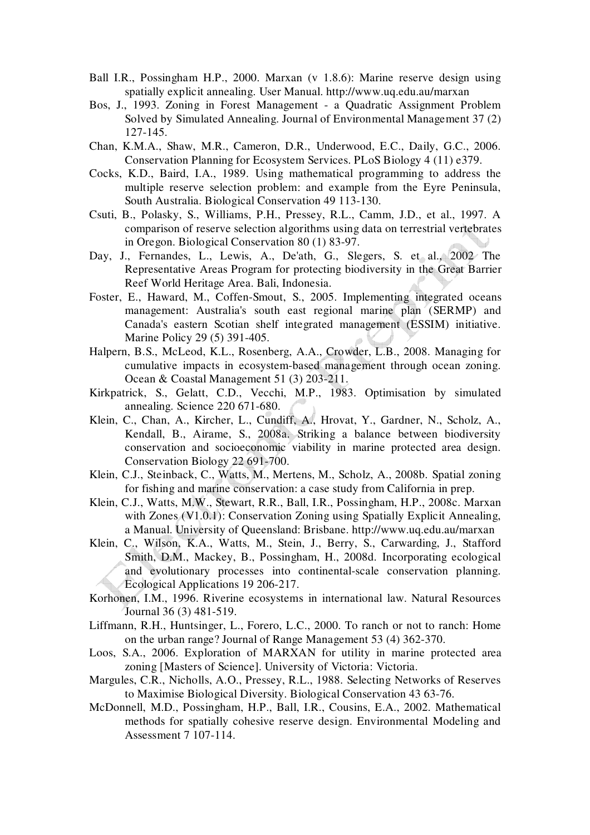- Ball I.R., Possingham H.P., 2000. Marxan (v 1.8.6): Marine reserve design using spatially explicit annealing. User Manual. http://www.uq.edu.au/marxan
- Bos, J., 1993. Zoning in Forest Management a Quadratic Assignment Problem Solved by Simulated Annealing. Journal of Environmental Management 37 (2) 127-145.
- Chan, K.M.A., Shaw, M.R., Cameron, D.R., Underwood, E.C., Daily, G.C., 2006. Conservation Planning for Ecosystem Services. PLoS Biology 4 (11) e379.
- Cocks, K.D., Baird, I.A., 1989. Using mathematical programming to address the multiple reserve selection problem: and example from the Eyre Peninsula, South Australia. Biological Conservation 49 113-130.
- Csuti, B., Polasky, S., Williams, P.H., Pressey, R.L., Camm, J.D., et al., 1997. A comparison of reserve selection algorithms using data on terrestrial vertebrates in Oregon. Biological Conservation 80 (1) 83-97.
- Day, J., Fernandes, L., Lewis, A., De'ath, G., Slegers, S. et al., 2002 The Representative Areas Program for protecting biodiversity in the Great Barrier Reef World Heritage Area. Bali, Indonesia.
- Foster, E., Haward, M., Coffen-Smout, S., 2005. Implementing integrated oceans management: Australia's south east regional marine plan (SERMP) and Canada's eastern Scotian shelf integrated management (ESSIM) initiative. Marine Policy 29 (5) 391-405.
- Halpern, B.S., McLeod, K.L., Rosenberg, A.A., Crowder, L.B., 2008. Managing for cumulative impacts in ecosystem-based management through ocean zoning. Ocean & Coastal Management 51 (3) 203-211.
- Kirkpatrick, S., Gelatt, C.D., Vecchi, M.P., 1983. Optimisation by simulated annealing. Science 220 671-680.
- Klein, C., Chan, A., Kircher, L., Cundiff, A., Hrovat, Y., Gardner, N., Scholz, A., Kendall, B., Airame, S., 2008a. Striking a balance between biodiversity conservation and socioeconomic viability in marine protected area design. Conservation Biology 22 691-700.
- Klein, C.J., Steinback, C., Watts, M., Mertens, M., Scholz, A., 2008b. Spatial zoning for fishing and marine conservation: a case study from California in prep.
- Klein, C.J., Watts, M.W., Stewart, R.R., Ball, I.R., Possingham, H.P., 2008c. Marxan with Zones (V1.0.1): Conservation Zoning using Spatially Explicit Annealing, a Manual. University of Queensland: Brisbane. http://www.uq.edu.au/marxan
- Klein, C., Wilson, K.A., Watts, M., Stein, J., Berry, S., Carwarding, J., Stafford Smith, D.M., Mackey, B., Possingham, H., 2008d. Incorporating ecological and evolutionary processes into continental-scale conservation planning. Ecological Applications 19 206-217.
- Korhonen, I.M., 1996. Riverine ecosystems in international law. Natural Resources Journal 36 (3) 481-519.
- Liffmann, R.H., Huntsinger, L., Forero, L.C., 2000. To ranch or not to ranch: Home on the urban range? Journal of Range Management 53 (4) 362-370.
- Loos, S.A., 2006. Exploration of MARXAN for utility in marine protected area zoning [Masters of Science]. University of Victoria: Victoria.
- Margules, C.R., Nicholls, A.O., Pressey, R.L., 1988. Selecting Networks of Reserves to Maximise Biological Diversity. Biological Conservation 43 63-76.
- McDonnell, M.D., Possingham, H.P., Ball, I.R., Cousins, E.A., 2002. Mathematical methods for spatially cohesive reserve design. Environmental Modeling and Assessment 7 107-114.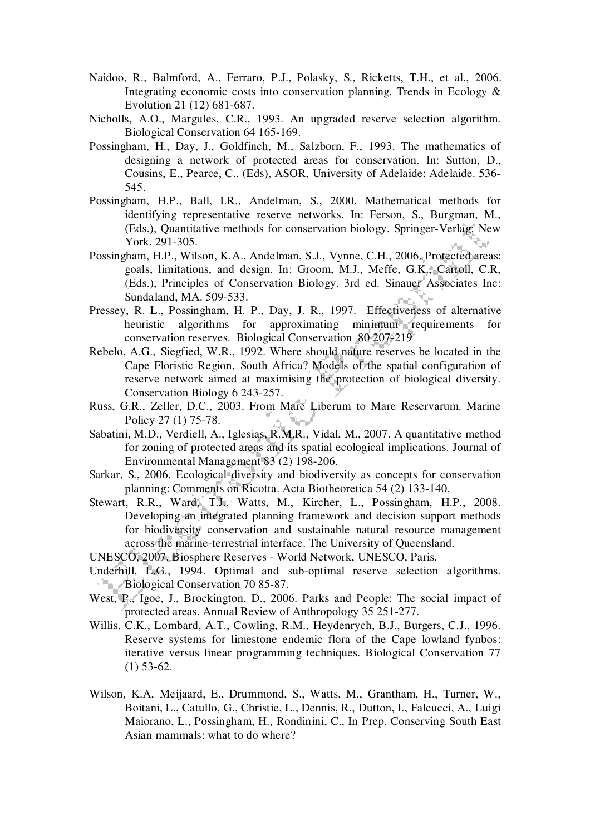- Naidoo, R., Balmford, A., Ferraro, P.J., Polasky, S., Ricketts, T.H., et al., 2006. Integrating economic costs into conservation planning. Trends in Ecology & Evolution 21 (12) 681-687.
- Nicholls, A.O., Margules, C.R., 1993. An upgraded reserve selection algorithm. Biological Conservation 64 165-169.
- Possingham, H., Day, J., Goldfinch, M., Salzborn, F., 1993. The mathematics of designing a network of protected areas for conservation. In: Sutton, D., Cousins, E., Pearce, C., (Eds), ASOR, University of Adelaide: Adelaide. 536- 545.
- Possingham, H.P., Ball, I.R., Andelman, S., 2000. Mathematical methods for identifying representative reserve networks. In: Ferson, S., Burgman, M., (Eds.), Quantitative methods for conservation biology. Springer-Verlag: New York. 291-305.
- Possingham, H.P., Wilson, K.A., Andelman, S.J., Vynne, C.H., 2006. Protected areas: goals, limitations, and design. In: Groom, M.J., Meffe, G.K., Carroll, C.R, (Eds.), Principles of Conservation Biology. 3rd ed. Sinauer Associates Inc: Sundaland, MA. 509-533.
- Pressey, R. L., Possingham, H. P., Day, J. R., 1997. Effectiveness of alternative heuristic algorithms for approximating minimum requirements for conservation reserves. Biological Conservation 80 207-219
- Rebelo, A.G., Siegfied, W.R., 1992. Where should nature reserves be located in the Cape Floristic Region, South Africa? Models of the spatial configuration of reserve network aimed at maximising the protection of biological diversity. Conservation Biology 6 243-257.
- Russ, G.R., Zeller, D.C., 2003. From Mare Liberum to Mare Reservarum. Marine Policy 27 (1) 75-78.
- Sabatini, M.D., Verdiell, A., Iglesias, R.M.R., Vidal, M., 2007. A quantitative method for zoning of protected areas and its spatial ecological implications. Journal of Environmental Management 83 (2) 198-206.
- Sarkar, S., 2006. Ecological diversity and biodiversity as concepts for conservation planning: Comments on Ricotta. Acta Biotheoretica 54 (2) 133-140.
- Stewart, R.R., Ward, T.J., Watts, M., Kircher, L., Possingham, H.P., 2008. Developing an integrated planning framework and decision support methods for biodiversity conservation and sustainable natural resource management across the marine-terrestrial interface. The University of Queensland.
- UNESCO, 2007. Biosphere Reserves World Network, UNESCO, Paris.
- Underhill, L.G., 1994. Optimal and sub-optimal reserve selection algorithms. Biological Conservation 70 85-87.
- West, P., Igoe, J., Brockington, D., 2006. Parks and People: The social impact of protected areas. Annual Review of Anthropology 35 251-277.
- Willis, C.K., Lombard, A.T., Cowling, R.M., Heydenrych, B.J., Burgers, C.J., 1996. Reserve systems for limestone endemic flora of the Cape lowland fynbos: iterative versus linear programming techniques. Biological Conservation 77 (1) 53-62.
- Wilson, K.A, Meijaard, E., Drummond, S., Watts, M., Grantham, H., Turner, W., Boitani, L., Catullo, G., Christie, L., Dennis, R., Dutton, I., Falcucci, A., Luigi Maiorano, L., Possingham, H., Rondinini, C., In Prep. Conserving South East Asian mammals: what to do where?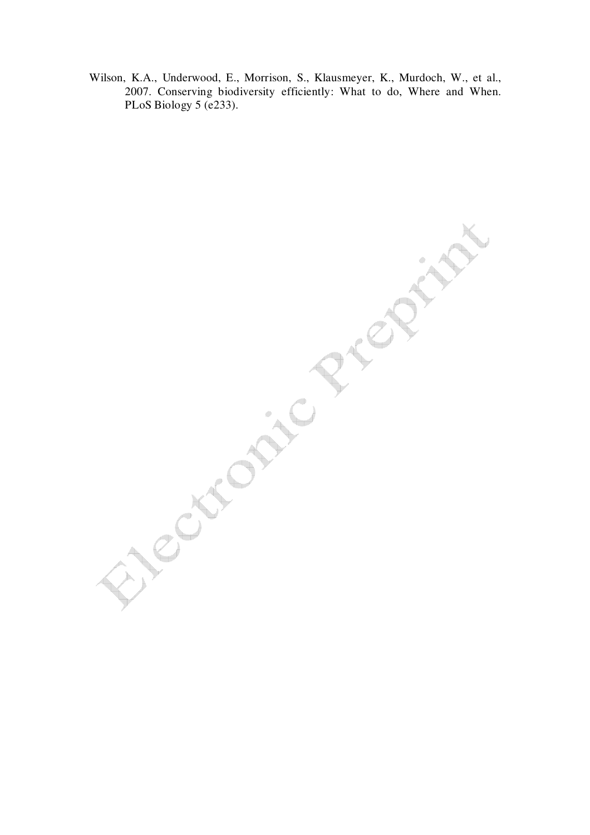Wilson, K.A., Underwood, E., Morrison, S., Klausmeyer, K., Murdoch, W., et al., 2007. Conserving biodiversity efficiently: What to do, Where and When. PLoS Biology 5 (e233).

 $R^2$ **Sycapic Rick**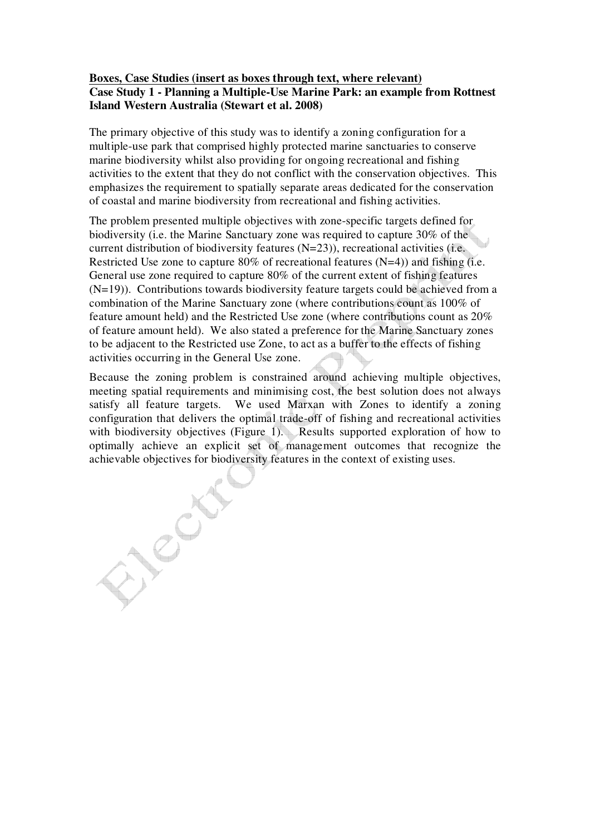# **Boxes, Case Studies (insert as boxes through text, where relevant) Case Study 1 - Planning a Multiple-Use Marine Park: an example from Rottnest Island Western Australia (Stewart et al. 2008)**

The primary objective of this study was to identify a zoning configuration for a multiple-use park that comprised highly protected marine sanctuaries to conserve marine biodiversity whilst also providing for ongoing recreational and fishing activities to the extent that they do not conflict with the conservation objectives. This emphasizes the requirement to spatially separate areas dedicated for the conservation of coastal and marine biodiversity from recreational and fishing activities.

The problem presented multiple objectives with zone-specific targets defined for biodiversity (i.e. the Marine Sanctuary zone was required to capture 30% of the current distribution of biodiversity features (N=23)), recreational activities (i.e. Restricted Use zone to capture  $80\%$  of recreational features (N=4)) and fishing (i.e. General use zone required to capture 80% of the current extent of fishing features (N=19)). Contributions towards biodiversity feature targets could be achieved from a combination of the Marine Sanctuary zone (where contributions count as 100% of feature amount held) and the Restricted Use zone (where contributions count as 20% of feature amount held). We also stated a preference for the Marine Sanctuary zones to be adjacent to the Restricted use Zone, to act as a buffer to the effects of fishing activities occurring in the General Use zone.

Because the zoning problem is constrained around achieving multiple objectives, meeting spatial requirements and minimising cost, the best solution does not always satisfy all feature targets. We used Marxan with Zones to identify a zoning configuration that delivers the optimal trade-off of fishing and recreational activities with biodiversity objectives (Figure 1). Results supported exploration of how to optimally achieve an explicit set of management outcomes that recognize the achievable objectives for biodiversity features in the context of existing uses.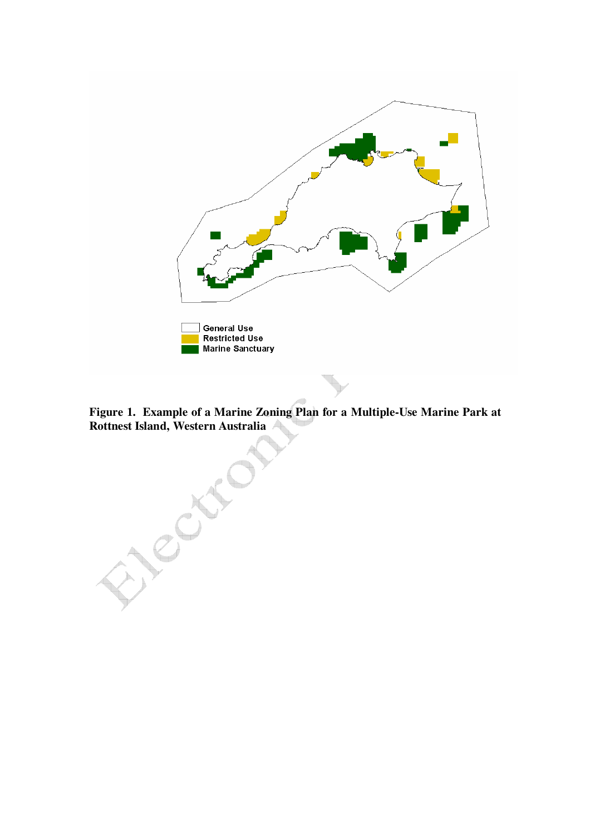

**Figure 1. Example of a Marine Zoning Plan for a Multiple-Use Marine Park at Rottnest Island, Western Australia** 

Child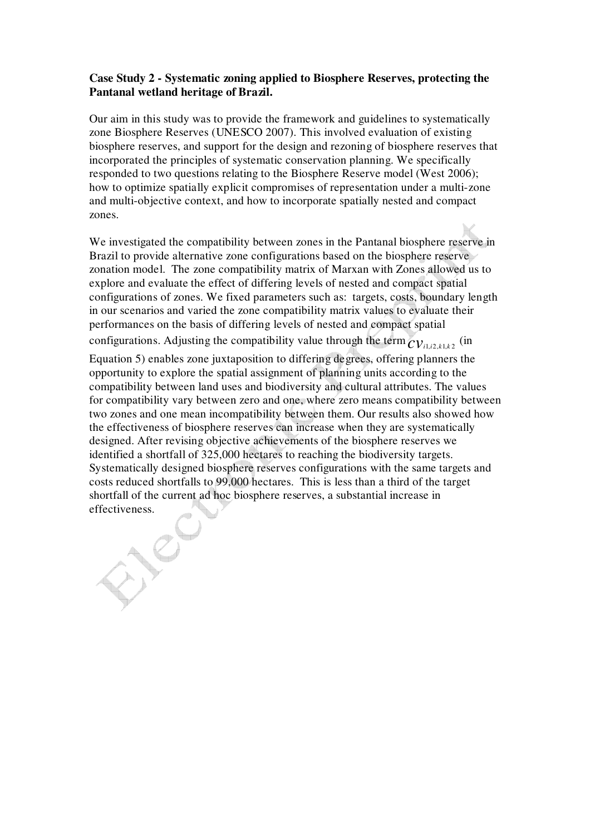# **Case Study 2 - Systematic zoning applied to Biosphere Reserves, protecting the Pantanal wetland heritage of Brazil.**

Our aim in this study was to provide the framework and guidelines to systematically zone Biosphere Reserves (UNESCO 2007). This involved evaluation of existing biosphere reserves, and support for the design and rezoning of biosphere reserves that incorporated the principles of systematic conservation planning. We specifically responded to two questions relating to the Biosphere Reserve model (West 2006); how to optimize spatially explicit compromises of representation under a multi-zone and multi-objective context, and how to incorporate spatially nested and compact zones.

We investigated the compatibility between zones in the Pantanal biosphere reserve in Brazil to provide alternative zone configurations based on the biosphere reserve zonation model. The zone compatibility matrix of Marxan with Zones allowed us to explore and evaluate the effect of differing levels of nested and compact spatial configurations of zones. We fixed parameters such as: targets, costs, boundary length in our scenarios and varied the zone compatibility matrix values to evaluate their performances on the basis of differing levels of nested and compact spatial configurations. Adjusting the compatibility value through the term  $_{CV_{i1,i2,k1,k2}}$  (in

Equation 5) enables zone juxtaposition to differing degrees, offering planners the opportunity to explore the spatial assignment of planning units according to the compatibility between land uses and biodiversity and cultural attributes. The values for compatibility vary between zero and one, where zero means compatibility between two zones and one mean incompatibility between them. Our results also showed how the effectiveness of biosphere reserves can increase when they are systematically designed. After revising objective achievements of the biosphere reserves we identified a shortfall of 325,000 hectares to reaching the biodiversity targets. Systematically designed biosphere reserves configurations with the same targets and costs reduced shortfalls to 99,000 hectares. This is less than a third of the target shortfall of the current ad hoc biosphere reserves, a substantial increase in effectiveness.

ENC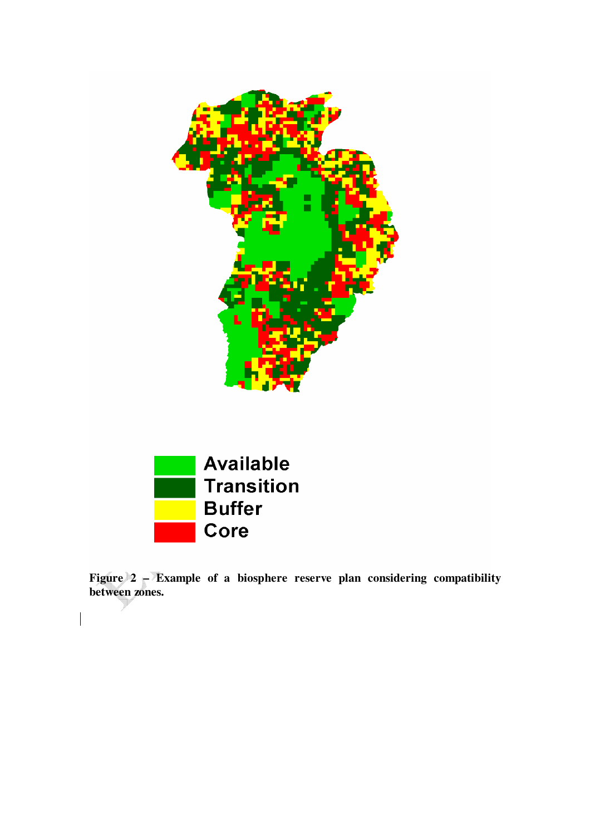



**Figure 2 – Example of a biosphere reserve plan considering compatibility between zones.**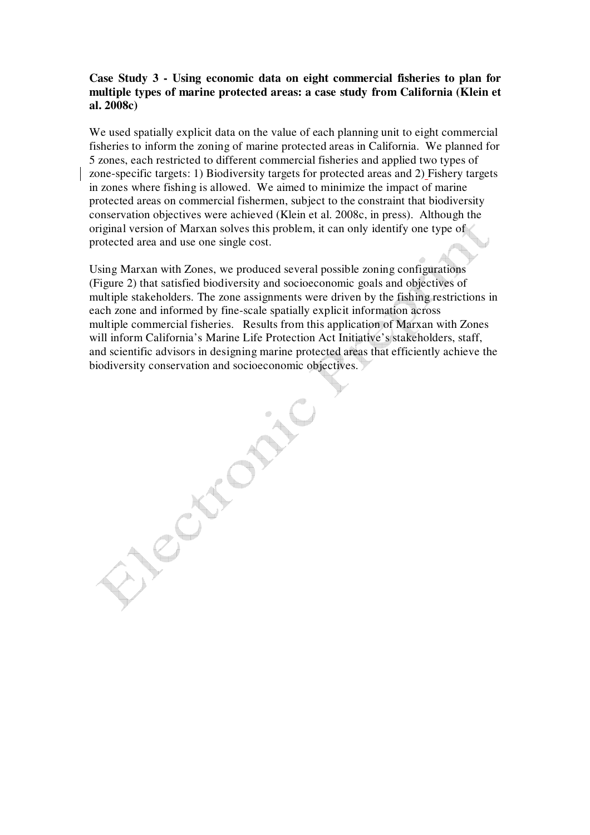# **Case Study 3 - Using economic data on eight commercial fisheries to plan for multiple types of marine protected areas: a case study from California (Klein et al. 2008c)**

We used spatially explicit data on the value of each planning unit to eight commercial fisheries to inform the zoning of marine protected areas in California. We planned for 5 zones, each restricted to different commercial fisheries and applied two types of zone-specific targets: 1) Biodiversity targets for protected areas and 2) Fishery targets in zones where fishing is allowed. We aimed to minimize the impact of marine protected areas on commercial fishermen, subject to the constraint that biodiversity conservation objectives were achieved (Klein et al. 2008c, in press). Although the original version of Marxan solves this problem, it can only identify one type of protected area and use one single cost.

Using Marxan with Zones, we produced several possible zoning configurations (Figure 2) that satisfied biodiversity and socioeconomic goals and objectives of multiple stakeholders. The zone assignments were driven by the fishing restrictions in each zone and informed by fine-scale spatially explicit information across multiple commercial fisheries. Results from this application of Marxan with Zones will inform California's Marine Life Protection Act Initiative's stakeholders, staff, and scientific advisors in designing marine protected areas that efficiently achieve the biodiversity conservation and socioeconomic objectives.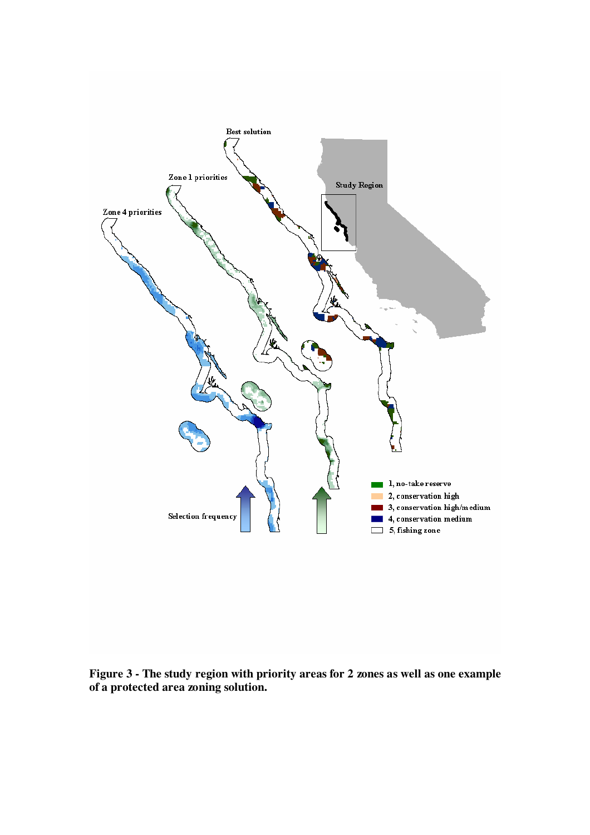

**Figure 3 - The study region with priority areas for 2 zones as well as one example of a protected area zoning solution.**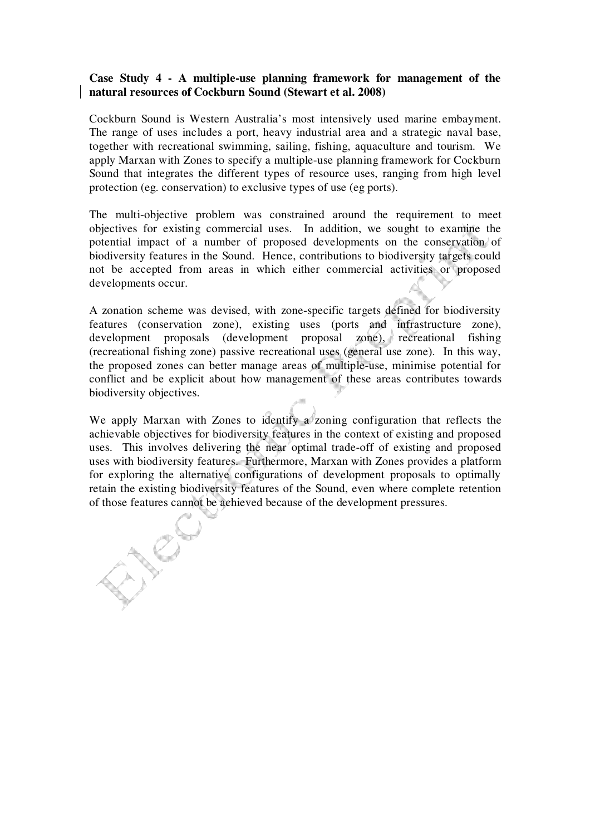## **Case Study 4 - A multiple-use planning framework for management of the natural resources of Cockburn Sound (Stewart et al. 2008)**

Cockburn Sound is Western Australia's most intensively used marine embayment. The range of uses includes a port, heavy industrial area and a strategic naval base, together with recreational swimming, sailing, fishing, aquaculture and tourism. We apply Marxan with Zones to specify a multiple-use planning framework for Cockburn Sound that integrates the different types of resource uses, ranging from high level protection (eg. conservation) to exclusive types of use (eg ports).

The multi-objective problem was constrained around the requirement to meet objectives for existing commercial uses. In addition, we sought to examine the potential impact of a number of proposed developments on the conservation of biodiversity features in the Sound. Hence, contributions to biodiversity targets could not be accepted from areas in which either commercial activities or proposed developments occur.

A zonation scheme was devised, with zone-specific targets defined for biodiversity features (conservation zone), existing uses (ports and infrastructure zone), development proposals (development proposal zone), recreational fishing (recreational fishing zone) passive recreational uses (general use zone). In this way, the proposed zones can better manage areas of multiple-use, minimise potential for conflict and be explicit about how management of these areas contributes towards biodiversity objectives.

We apply Marxan with Zones to identify a zoning configuration that reflects the achievable objectives for biodiversity features in the context of existing and proposed uses. This involves delivering the near optimal trade-off of existing and proposed uses with biodiversity features. Furthermore, Marxan with Zones provides a platform for exploring the alternative configurations of development proposals to optimally retain the existing biodiversity features of the Sound, even where complete retention of those features cannot be achieved because of the development pressures.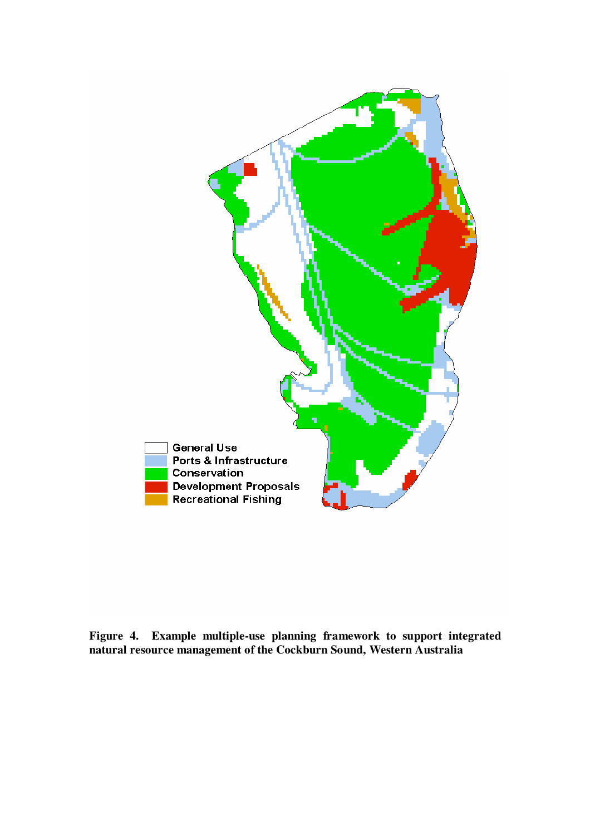

**Figure 4. Example multiple-use planning framework to support integrated natural resource management of the Cockburn Sound, Western Australia**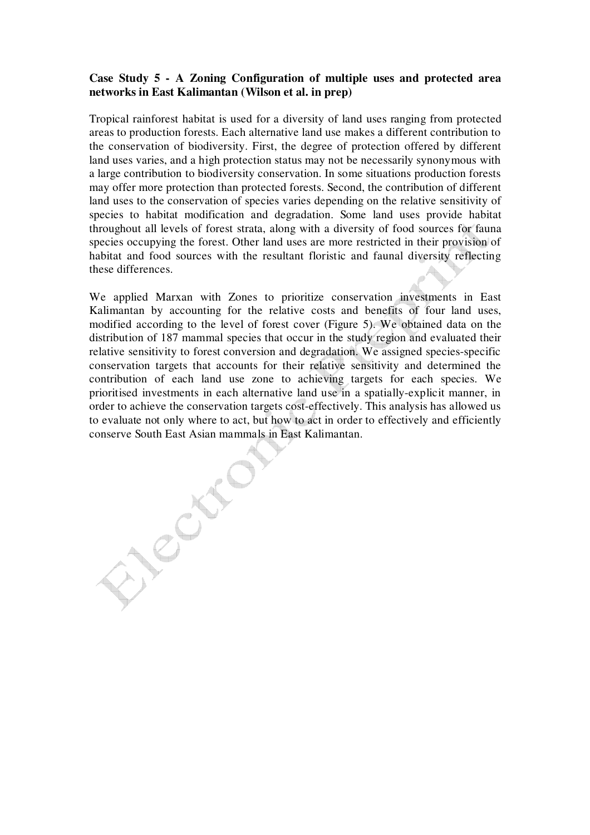# **Case Study 5 - A Zoning Configuration of multiple uses and protected area networks in East Kalimantan (Wilson et al. in prep)**

Tropical rainforest habitat is used for a diversity of land uses ranging from protected areas to production forests. Each alternative land use makes a different contribution to the conservation of biodiversity. First, the degree of protection offered by different land uses varies, and a high protection status may not be necessarily synonymous with a large contribution to biodiversity conservation. In some situations production forests may offer more protection than protected forests. Second, the contribution of different land uses to the conservation of species varies depending on the relative sensitivity of species to habitat modification and degradation. Some land uses provide habitat throughout all levels of forest strata, along with a diversity of food sources for fauna species occupying the forest. Other land uses are more restricted in their provision of habitat and food sources with the resultant floristic and faunal diversity reflecting these differences.

We applied Marxan with Zones to prioritize conservation investments in East Kalimantan by accounting for the relative costs and benefits of four land uses, modified according to the level of forest cover (Figure 5). We obtained data on the distribution of 187 mammal species that occur in the study region and evaluated their relative sensitivity to forest conversion and degradation. We assigned species-specific conservation targets that accounts for their relative sensitivity and determined the contribution of each land use zone to achieving targets for each species. We prioritised investments in each alternative land use in a spatially-explicit manner, in order to achieve the conservation targets cost-effectively. This analysis has allowed us to evaluate not only where to act, but how to act in order to effectively and efficiently conserve South East Asian mammals in East Kalimantan.